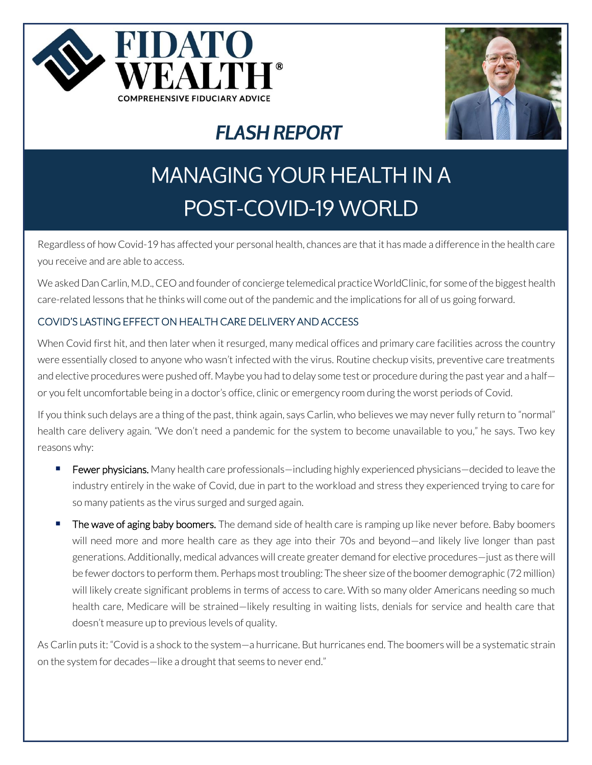



# **FLASH REPORT**

# **MANAGING YOUR HEALTH IN A POST-COVID-19 WORLD**

Regardless of how Covid-19 has affected your personal health, chances are that it has made a difference in the health care you receive and are able to access.

We asked Dan Carlin, M.D., CEO and founder of concierge telemedical practice WorldClinic, for some of the biggest health care-related lessons that he thinks will come out of the pandemic and the implications for all of us going forward.

## COVID'S LASTING EFFECT ON HEALTH CARE DELIVERY AND ACCESS

When Covid first hit, and then later when it resurged, many medical offices and primary care facilities across the country were essentially closed to anyone who wasn't infected with the virus. Routine checkup visits, preventive care treatments and elective procedures were pushed off. Maybe you had to delay some test or procedure during the past year and a half or you felt uncomfortable being in a doctor's office, clinic or emergency room during the worst periods of Covid.

If you think such delays are a thing of the past, think again, says Carlin, who believes we may never fully return to "normal" health care delivery again. "We don't need a pandemic for the system to become unavailable to you," he says. Two key reasons why:

- **Eewer physicians.** Many health care professionals—including highly experienced physicians—decided to leave the industry entirely in the wake of Covid, due in part to the workload and stress they experienced trying to care for so many patients as the virus surged and surged again.
- The wave of aging baby boomers. The demand side of health care is ramping up like never before. Baby boomers will need more and more health care as they age into their 70s and beyond—and likely live longer than past generations. Additionally, medical advances will create greater demand for elective procedures—just as there will be fewer doctors to perform them. Perhaps most troubling: The sheer size of the boomer demographic (72 million) will likely create significant problems in terms of access to care. With so many older Americans needing so much health care, Medicare will be strained—likely resulting in waiting lists, denials for service and health care that doesn't measure up to previous levels of quality.

As Carlin puts it: "Covid is a shock to the system—a hurricane. But hurricanes end. The boomers will be a systematic strain on the system for decades—like a drought that seems to never end."